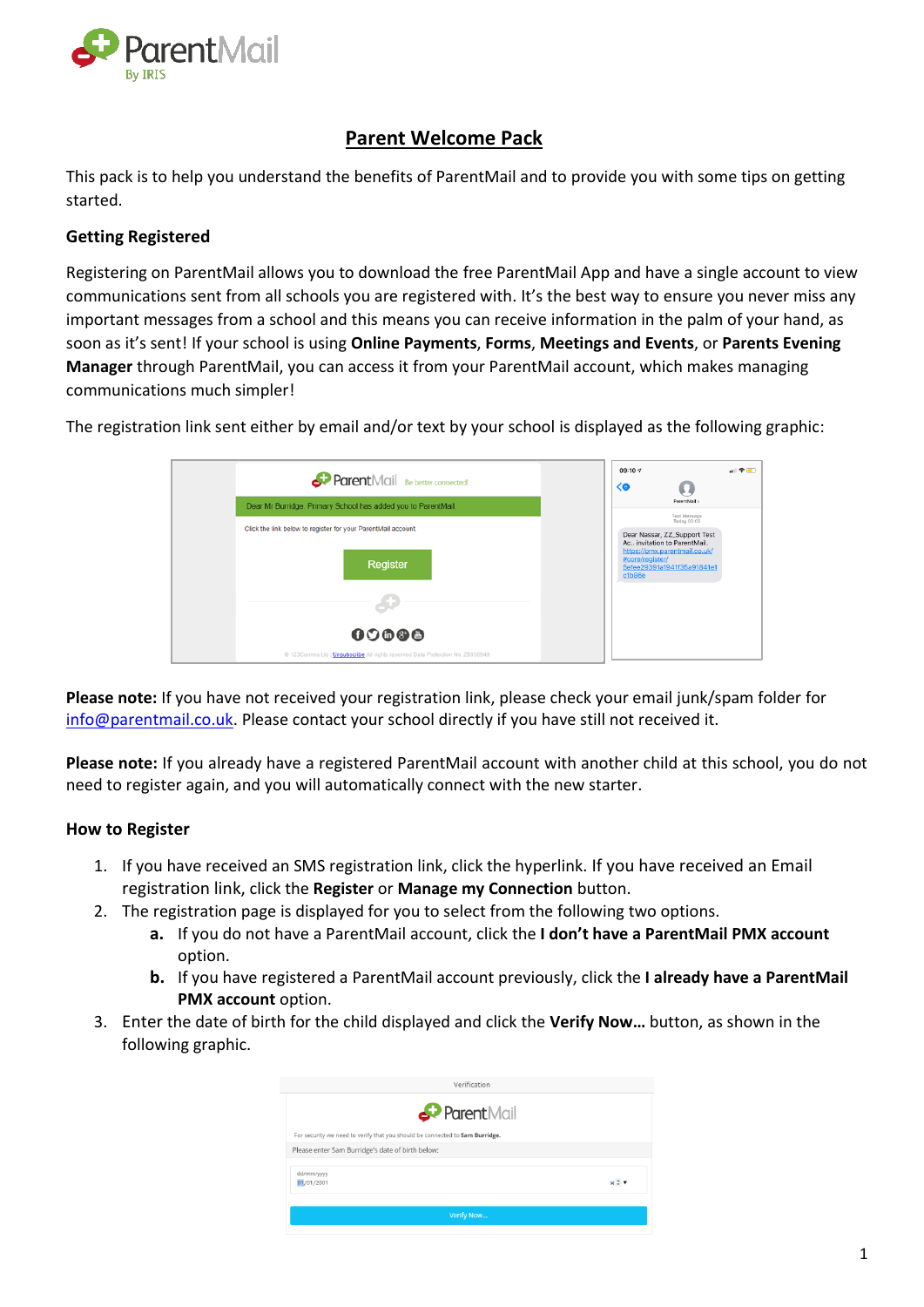

# **Parent Welcome Pack**

This pack is to help you understand the benefits of ParentMail and to provide you with some tips on getting started.

# **Getting Registered**

Registering on ParentMail allows you to download the free ParentMail App and have a single account to view communications sent from all schools you are registered with. It's the best way to ensure you never miss any important messages from a school and this means you can receive information in the palm of your hand, as soon as it's sent! If your school is using **Online Payments**, **Forms**, **Meetings and Events**, or **Parents Evening Manager** through ParentMail, you can access it from your ParentMail account, which makes managing communications much simpler!

|        | 09:10 4    | $\sqrt{2}$ |
|--------|------------|------------|
| Parent | $\sqrt{2}$ |            |

The registration link sent either by email and/or text by your school is displayed as the following graphic:

| <b>Parent</b> Mail Be better connected!                                        | $\langle 0$               |                                                                               |
|--------------------------------------------------------------------------------|---------------------------|-------------------------------------------------------------------------------|
| Dear Mr Burridge. Primary School has added you to ParentMail.                  |                           | ParentMail:<br>Text Message                                                   |
| Click the link below to register for your ParentMail account.                  |                           | Today 09:09<br>Dear Nassar, ZZ_Support Test<br>Ac., invitation to ParentMail. |
| Register                                                                       | #core/register/<br>c1b86e | https://pmx.parentmail.co.uk/<br>5efee29391a1941f35a91841e1                   |
|                                                                                |                           |                                                                               |
| 00000                                                                          |                           |                                                                               |
| @ 123Comms Ltd   Unsubscribe All rights reserved Data Protection No: Z8936949. |                           |                                                                               |

**Please note:** If you have not received your registration link, please check your email junk/spam folder for [info@parentmail.co.uk.](mailto:info@parentmail.co.uk) Please contact your school directly if you have still not received it.

**Please note:** If you already have a registered ParentMail account with another child at this school, you do not need to register again, and you will automatically connect with the new starter.

# **How to Register**

- 1. If you have received an SMS registration link, click the hyperlink. If you have received an Email registration link, click the **Register** or **Manage my Connection** button.
- 2. The registration page is displayed for you to select from the following two options.
	- **a.** If you do not have a ParentMail account, click the **I don't have a ParentMail PMX account** option.
	- **b.** If you have registered a ParentMail account previously, click the **I already have a ParentMail PMX account** option.
- 3. Enter the date of birth for the child displayed and click the **Verify Now…** button, as shown in the following graphic.

| Verification                                                                 |            |
|------------------------------------------------------------------------------|------------|
| Parent Mail                                                                  |            |
| For security we need to verify that you should be connected to Sam Burridge. |            |
| Please enter Sam Burridge's date of birth below:                             |            |
| dd/mm/yyyy<br>01/01/2001                                                     | $x \div v$ |
| Verify Now                                                                   |            |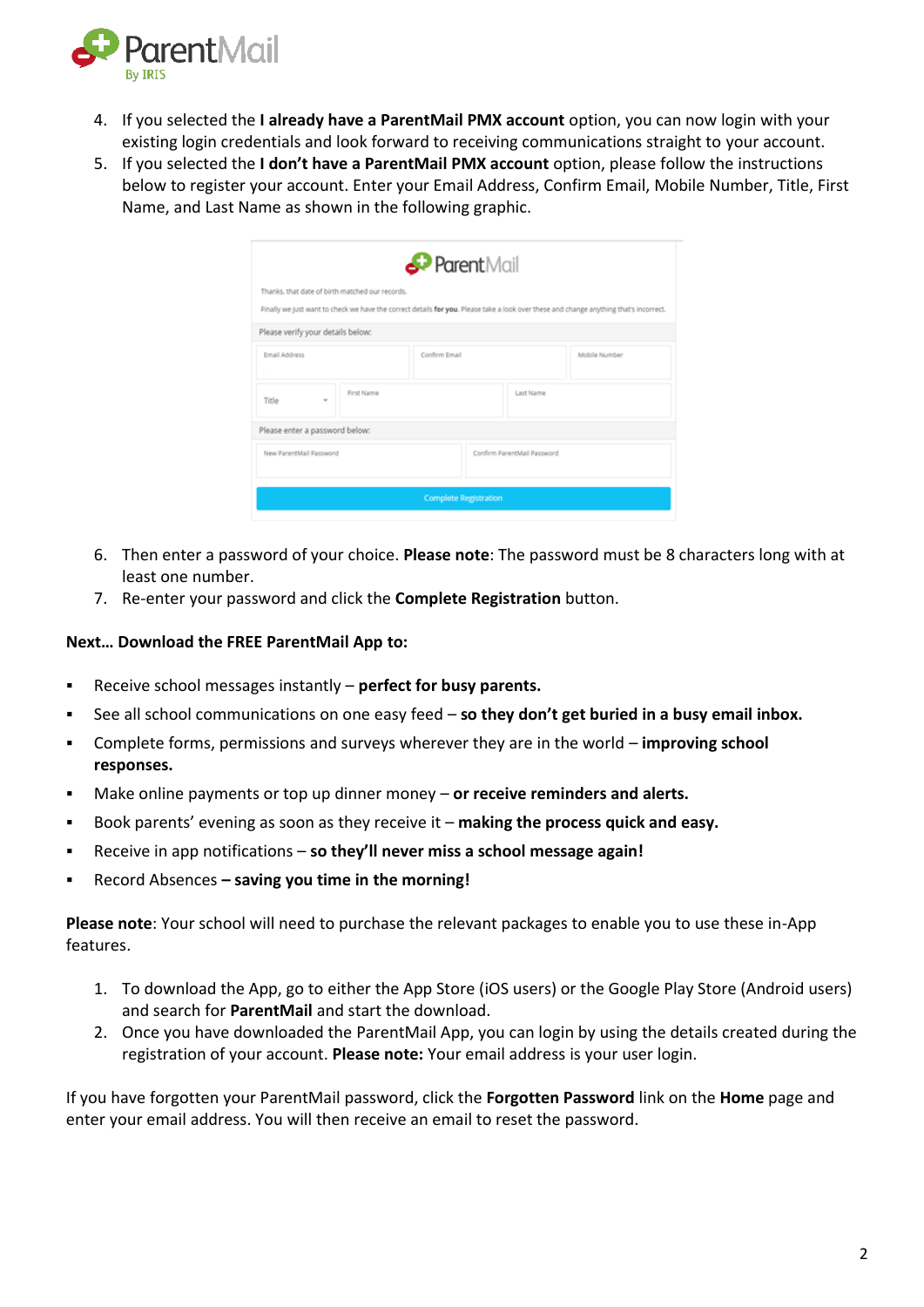

- 4. If you selected the **I already have a ParentMail PMX account** option, you can now login with your existing login credentials and look forward to receiving communications straight to your account.
- 5. If you selected the **I don't have a ParentMail PMX account** option, please follow the instructions below to register your account. Enter your Email Address, Confirm Email, Mobile Number, Title, First Name, and Last Name as shown in the following graphic.

|                                                                                                                                        | ParentMail    |                             |           |               |
|----------------------------------------------------------------------------------------------------------------------------------------|---------------|-----------------------------|-----------|---------------|
| Thanks, that date of birth matched our records.                                                                                        |               |                             |           |               |
| Finally we just want to check we have the correct details for you. Please take a look over these and change anything that's incorrect. |               |                             |           |               |
| Please verify your details below:                                                                                                      |               |                             |           |               |
| Email Address                                                                                                                          | Confirm Email |                             |           | Mobile Number |
| $\sim$                                                                                                                                 |               |                             |           |               |
| First Name<br>Title<br>v                                                                                                               |               |                             | Last Name |               |
| Please enter a password below:                                                                                                         |               |                             |           |               |
| New ParentMail Password                                                                                                                |               | Confirm ParentMail Password |           |               |
|                                                                                                                                        |               |                             |           |               |

- 6. Then enter a password of your choice. **Please note**: The password must be 8 characters long with at least one number.
- 7. Re-enter your password and click the **Complete Registration** button.

#### **Next… Download the FREE ParentMail App to:**

- Receive school messages instantly **perfect for busy parents.**
- See all school communications on one easy feed **so they don't get buried in a busy email inbox.**
- Complete forms, permissions and surveys wherever they are in the world **improving school responses.**
- Make online payments or top up dinner money **or receive reminders and alerts.**
- Book parents' evening as soon as they receive it **making the process quick and easy.**
- Receive in app notifications **so they'll never miss a school message again!**
- Record Absences **– saving you time in the morning!**

**Please note**: Your school will need to purchase the relevant packages to enable you to use these in-App features.

- 1. To download the App, go to either the App Store (iOS users) or the Google Play Store (Android users) and search for **ParentMail** and start the download.
- 2. Once you have downloaded the ParentMail App, you can login by using the details created during the registration of your account. **Please note:** Your email address is your user login.

If you have forgotten your ParentMail password, click the **Forgotten Password** link on the **Home** page and enter your email address. You will then receive an email to reset the password.